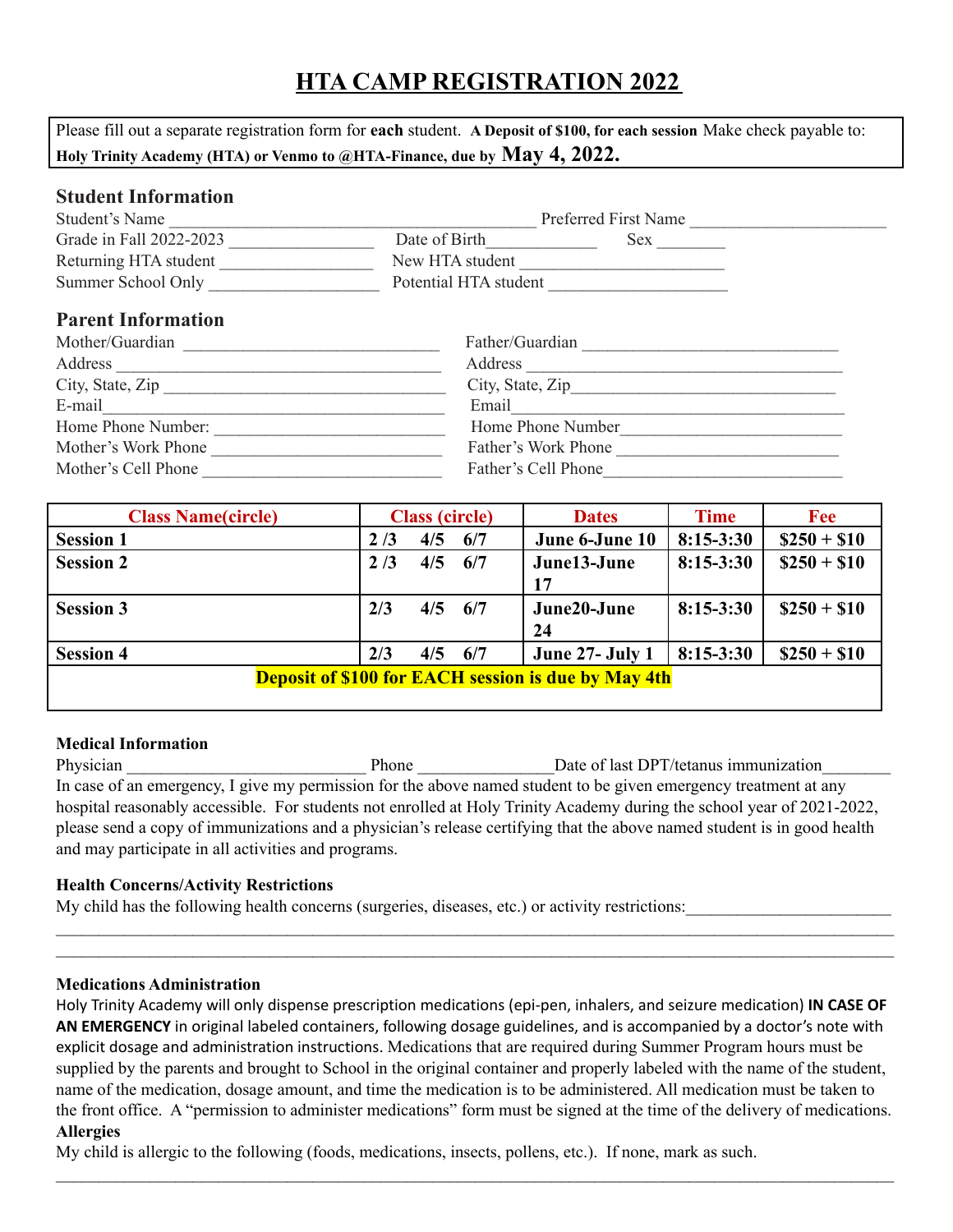# **HTA CAMP REGISTRATION 2022**

Please fill out a separate registration form for **each** student. **A Deposit of \$100, for each session** Make check payable to: **Holy Trinity Academy (HTA) or Venmo to @HTA-Finance, due by May 4, 2022.**

### **Student Information**

| Student's Name          |                       | Preferred First Name |  |
|-------------------------|-----------------------|----------------------|--|
| Grade in Fall 2022-2023 | Date of Birth         | Sex                  |  |
| Returning HTA student   | New HTA student       |                      |  |
| Summer School Only      | Potential HTA student |                      |  |

## **Parent Information**

| Mother/Guardian     | Father/Guardian     |
|---------------------|---------------------|
| Address             | Address             |
| City, State, Zip    | City, State, Zip    |
| E-mail              | Email               |
| Home Phone Number:  | Home Phone Number   |
| Mother's Work Phone | Father's Work Phone |
| Mother's Cell Phone | Father's Cell Phone |

| <b>Class Name(circle)</b>                                  |     | <b>Class (circle)</b> |     | <b>Dates</b>           | <b>Time</b> | <b>Fee</b>   |
|------------------------------------------------------------|-----|-----------------------|-----|------------------------|-------------|--------------|
| <b>Session 1</b>                                           | 2/3 | 4/5                   | 6/7 | June 6-June 10         | $8:15-3:30$ | $$250 + $10$ |
| <b>Session 2</b>                                           | 2/3 | 4/5                   | 6/7 | June13-June            | $8:15-3:30$ | $$250 + $10$ |
|                                                            |     |                       |     | 17                     |             |              |
| <b>Session 3</b>                                           | 2/3 | 4/5                   | 6/7 | June20-June            | $8:15-3:30$ | $$250 + $10$ |
|                                                            |     |                       |     | 24                     |             |              |
| <b>Session 4</b>                                           | 2/3 | 4/5                   | 6/7 | <b>June 27- July 1</b> | $8:15-3:30$ | $$250 + $10$ |
| <b>Deposit of \$100 for EACH session is due by May 4th</b> |     |                       |     |                        |             |              |
|                                                            |     |                       |     |                        |             |              |

#### **Medical Information**

Physician Phone Date of last DPT/tetanus immunization In case of an emergency, I give my permission for the above named student to be given emergency treatment at any hospital reasonably accessible. For students not enrolled at Holy Trinity Academy during the school year of 2021-2022, please send a copy of immunizations and a physician's release certifying that the above named student is in good health and may participate in all activities and programs.

### **Health Concerns/Activity Restrictions**

My child has the following health concerns (surgeries, diseases, etc.) or activity restrictions:

### **Medications Administration**

Holy Trinity Academy will only dispense prescription medications (epi-pen, inhalers, and seizure medication) **IN CASE OF AN EMERGENCY** in original labeled containers, following dosage guidelines, and is accompanied by a doctor's note with explicit dosage and administration instructions. Medications that are required during Summer Program hours must be supplied by the parents and brought to School in the original container and properly labeled with the name of the student, name of the medication, dosage amount, and time the medication is to be administered. All medication must be taken to the front office. A "permission to administer medications" form must be signed at the time of the delivery of medications. **Allergies**

 $\mathcal{L}_\mathcal{L} = \mathcal{L}_\mathcal{L} = \mathcal{L}_\mathcal{L} = \mathcal{L}_\mathcal{L} = \mathcal{L}_\mathcal{L} = \mathcal{L}_\mathcal{L} = \mathcal{L}_\mathcal{L} = \mathcal{L}_\mathcal{L} = \mathcal{L}_\mathcal{L} = \mathcal{L}_\mathcal{L} = \mathcal{L}_\mathcal{L} = \mathcal{L}_\mathcal{L} = \mathcal{L}_\mathcal{L} = \mathcal{L}_\mathcal{L} = \mathcal{L}_\mathcal{L} = \mathcal{L}_\mathcal{L} = \mathcal{L}_\mathcal{L}$ 

 $\mathcal{L}_\mathcal{L} = \mathcal{L}_\mathcal{L} = \mathcal{L}_\mathcal{L} = \mathcal{L}_\mathcal{L} = \mathcal{L}_\mathcal{L} = \mathcal{L}_\mathcal{L} = \mathcal{L}_\mathcal{L} = \mathcal{L}_\mathcal{L} = \mathcal{L}_\mathcal{L} = \mathcal{L}_\mathcal{L} = \mathcal{L}_\mathcal{L} = \mathcal{L}_\mathcal{L} = \mathcal{L}_\mathcal{L} = \mathcal{L}_\mathcal{L} = \mathcal{L}_\mathcal{L} = \mathcal{L}_\mathcal{L} = \mathcal{L}_\mathcal{L}$  $\mathcal{L}_\mathcal{L} = \mathcal{L}_\mathcal{L} = \mathcal{L}_\mathcal{L} = \mathcal{L}_\mathcal{L} = \mathcal{L}_\mathcal{L} = \mathcal{L}_\mathcal{L} = \mathcal{L}_\mathcal{L} = \mathcal{L}_\mathcal{L} = \mathcal{L}_\mathcal{L} = \mathcal{L}_\mathcal{L} = \mathcal{L}_\mathcal{L} = \mathcal{L}_\mathcal{L} = \mathcal{L}_\mathcal{L} = \mathcal{L}_\mathcal{L} = \mathcal{L}_\mathcal{L} = \mathcal{L}_\mathcal{L} = \mathcal{L}_\mathcal{L}$ 

My child is allergic to the following (foods, medications, insects, pollens, etc.). If none, mark as such.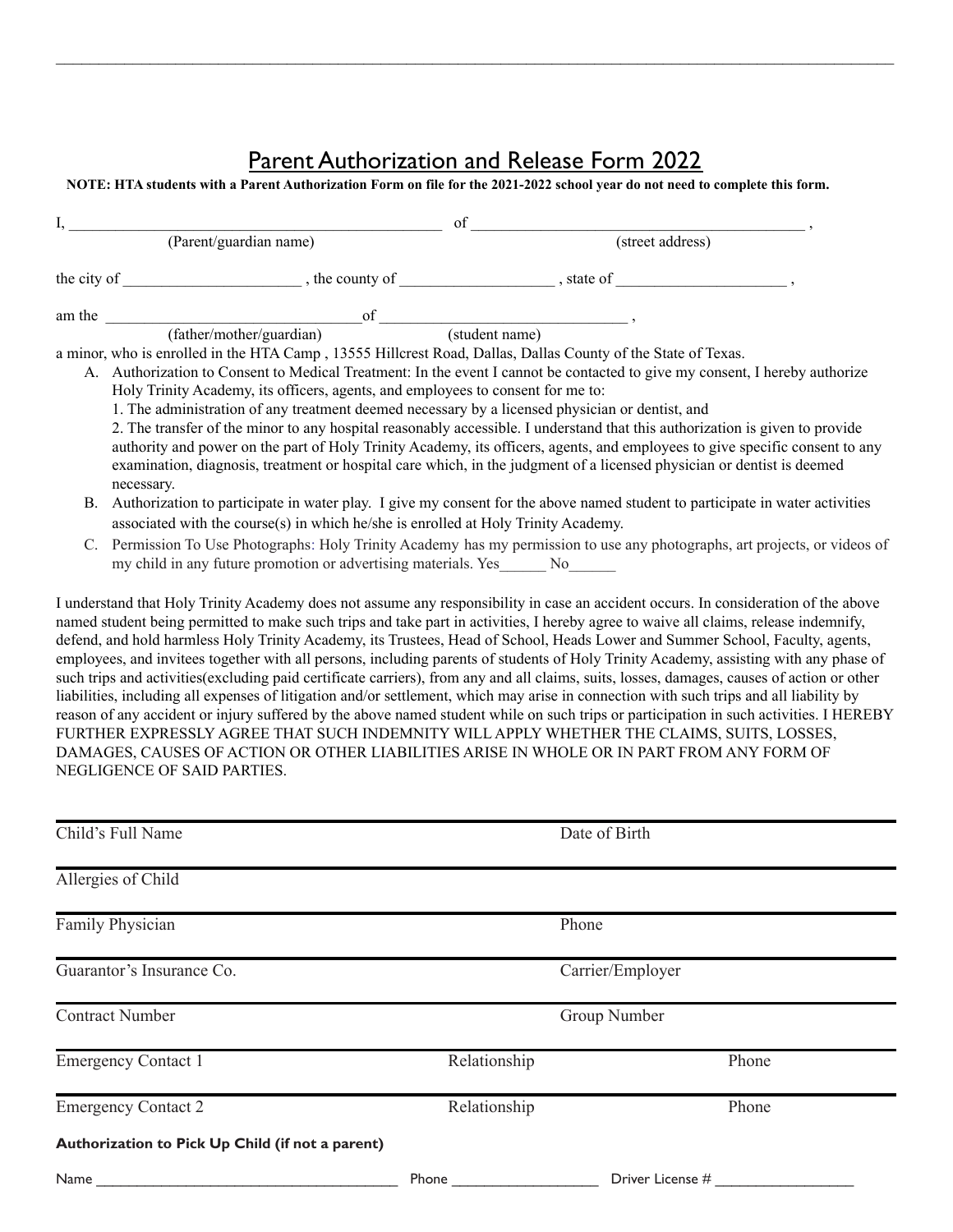# Parent Authorization and Release Form 2022

 $\mathcal{L}_\mathcal{L} = \mathcal{L}_\mathcal{L} = \mathcal{L}_\mathcal{L} = \mathcal{L}_\mathcal{L} = \mathcal{L}_\mathcal{L} = \mathcal{L}_\mathcal{L} = \mathcal{L}_\mathcal{L} = \mathcal{L}_\mathcal{L} = \mathcal{L}_\mathcal{L} = \mathcal{L}_\mathcal{L} = \mathcal{L}_\mathcal{L} = \mathcal{L}_\mathcal{L} = \mathcal{L}_\mathcal{L} = \mathcal{L}_\mathcal{L} = \mathcal{L}_\mathcal{L} = \mathcal{L}_\mathcal{L} = \mathcal{L}_\mathcal{L}$ 

#### **NOTE: HTA students with a Parent Authorization Form on file for the 2021-2022 school year do not need to complete this form.**

|                        |                                                                                                              | of                                                                                                                                    |
|------------------------|--------------------------------------------------------------------------------------------------------------|---------------------------------------------------------------------------------------------------------------------------------------|
| (Parent/guardian name) |                                                                                                              | (street address)                                                                                                                      |
|                        |                                                                                                              |                                                                                                                                       |
|                        | am the $\qquad \qquad \qquad \qquad$ of $\qquad \qquad \qquad$ ,                                             |                                                                                                                                       |
|                        | (father/mother/guardian)                                                                                     | (student name)                                                                                                                        |
|                        | a minor, who is enrolled in the HTA Camp, 13555 Hillcrest Road, Dallas, Dallas County of the State of Texas. |                                                                                                                                       |
|                        |                                                                                                              | A. Authorization to Consent to Medical Treatment: In the event I cannot be contacted to give my consent, I hereby authorize           |
|                        | Holy Trinity Academy, its officers, agents, and employees to consent for me to:                              |                                                                                                                                       |
|                        | 1. The administration of any treatment deemed necessary by a licensed physician or dentist, and              |                                                                                                                                       |
|                        |                                                                                                              | 2. The transfer of the minor to any hospital reasonably accessible. I understand that this authorization is given to provide          |
|                        |                                                                                                              | authority and power on the part of Holy Trinity Academy, its officers, agents, and employees to give specific consent to any          |
|                        |                                                                                                              | examination, diagnosis, treatment or hospital care which, in the judgment of a licensed physician or dentist is deemed                |
|                        | necessary.                                                                                                   |                                                                                                                                       |
| В.                     |                                                                                                              | Authorization to participate in water play. I give my consent for the above named student to participate in water activities          |
|                        | associated with the course(s) in which he/she is enrolled at Holy Trinity Academy.                           |                                                                                                                                       |
|                        |                                                                                                              | Permission To Use Photographs: Holy Trinity Academy has my permission to use any photographs, art projects, or videos of              |
|                        | my child in any future promotion or advertising materials. Yes________ No_______                             |                                                                                                                                       |
|                        |                                                                                                              |                                                                                                                                       |
|                        |                                                                                                              | I understand that Holy Trinity Academy does not assume any responsibility in case an accident occurs. In consideration of the above   |
|                        |                                                                                                              | named student being permitted to make such trips and take part in activities, I hereby agree to waive all claims, release indemnify,  |
|                        |                                                                                                              | defend, and hold harmless Holy Trinity Academy, its Trustees, Head of School, Heads Lower and Summer School, Faculty, agents,         |
|                        |                                                                                                              | employees, and invitees together with all persons, including parents of students of Holy Trinity Academy, assisting with any phase of |

employees, and invitees together with all persons, including parents of students of Holy Trinity Academy, assisting with any phase of such trips and activities(excluding paid certificate carriers), from any and all claims, suits, losses, damages, causes of action or other liabilities, including all expenses of litigation and/or settlement, which may arise in connection with such trips and all liability by reason of any accident or injury suffered by the above named student while on such trips or participation in such activities. I HEREBY FURTHER EXPRESSLY AGREE THAT SUCH INDEMNITY WILL APPLY WHETHER THE CLAIMS, SUITS, LOSSES, DAMAGES, CAUSES OF ACTION OR OTHER LIABILITIES ARISE IN WHOLE OR IN PART FROM ANY FORM OF NEGLIGENCE OF SAID PARTIES.

| Child's Full Name                                |              | Date of Birth    |       |
|--------------------------------------------------|--------------|------------------|-------|
| Allergies of Child                               |              |                  |       |
| Family Physician                                 |              | Phone            |       |
| Guarantor's Insurance Co.                        |              | Carrier/Employer |       |
| <b>Contract Number</b>                           |              | Group Number     |       |
| <b>Emergency Contact 1</b>                       | Relationship |                  | Phone |
| <b>Emergency Contact 2</b>                       | Relationship |                  | Phone |
| Authorization to Pick Up Child (if not a parent) |              |                  |       |
| Name                                             | Phone        | Driver License # |       |